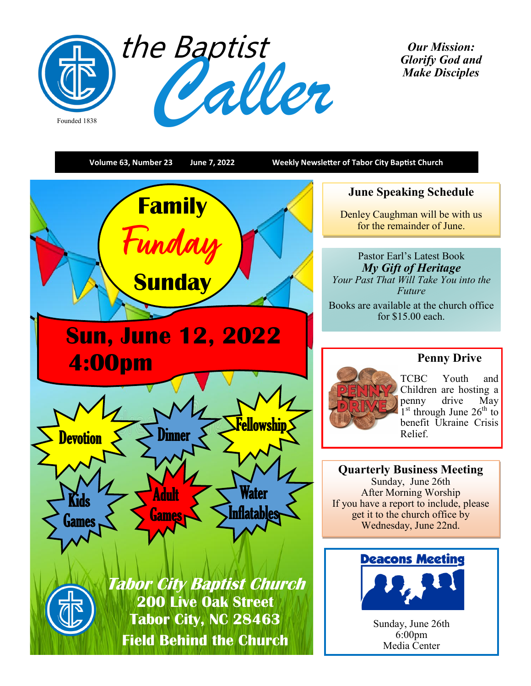

*Our Mission: Glorify God and Make Disciples* 

**Volume 63, Number 23 June 7, 2022 Weekly Newsletter of Tabor City Baptist Church June Speaking Schedule Family** Denley Caughman will be with us **Funday** for the remainder of June. Pastor Earl's Latest Book *My Gift of Heritage* **Sunday** *Your Past That Will Take You into the Future* Books are available at the church office for \$15.00 each. **Sun, June 12, 2022 Penny Drive 4:00pm** TCBC Youth and Children are hosting a penny drive May  $1<sup>st</sup>$  through June 26<sup>th</sup> to Fellowship benefit Ukraine Crisis Relief. Devotion  $S \geq 0$ inner **Quarterly Business Meeting** Sunday, June 26th Water After Morning Worship Adult Kids If you have a report to include, please **Inflatables** get it to the church office by **Games** Games Wednesday, June 22nd. **Deacons Meeting Tabor City Baptist Church 200 Live Oak Street Tabor City, NC 28463** Sunday, June 26th  $6:00$ pm **Field Behind the Church** Media Center